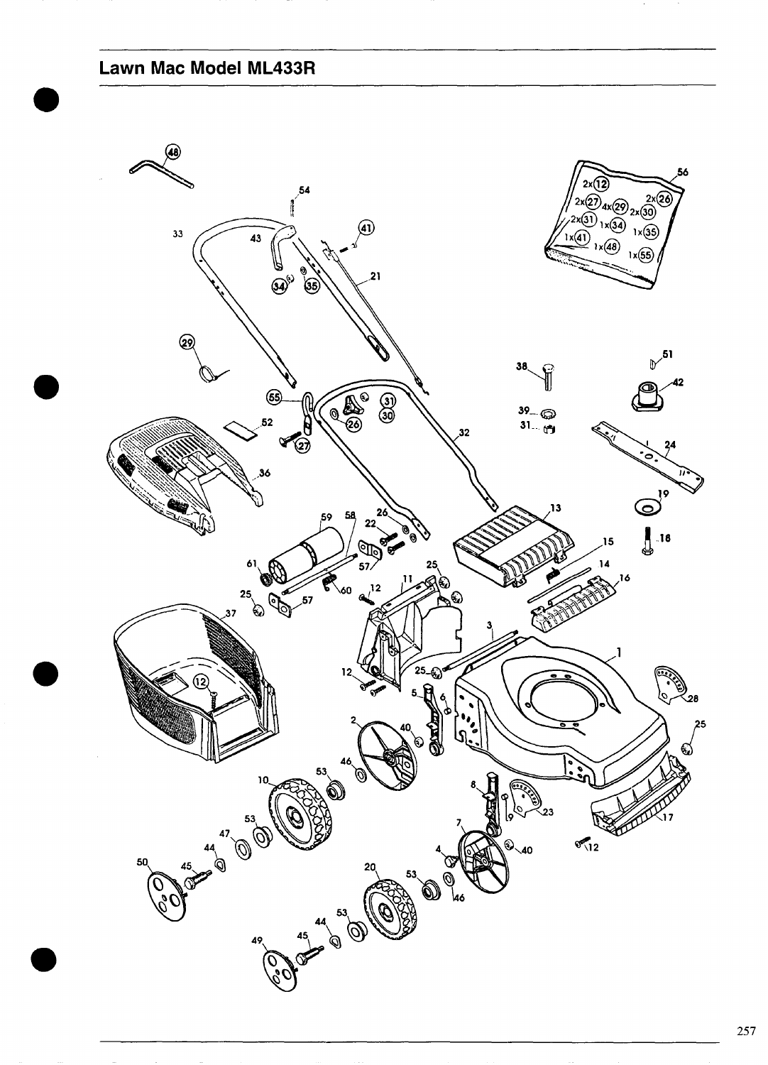## **Lawn Mac Model ML433R**

<span id="page-0-0"></span>